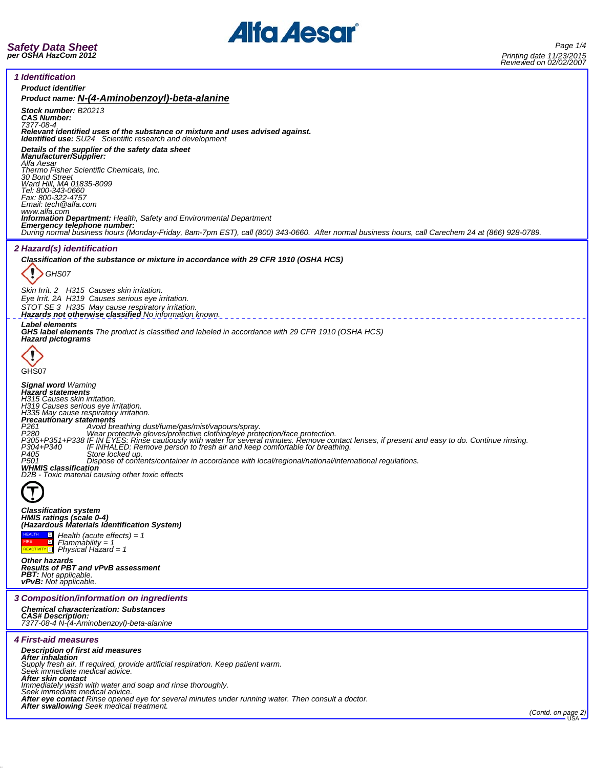

| <i>1 Identification</i>                                                                                                                                                                                                                                                                                                                                                                                                                                                                                                                                                                                                                                                                                                                                                                                             |
|---------------------------------------------------------------------------------------------------------------------------------------------------------------------------------------------------------------------------------------------------------------------------------------------------------------------------------------------------------------------------------------------------------------------------------------------------------------------------------------------------------------------------------------------------------------------------------------------------------------------------------------------------------------------------------------------------------------------------------------------------------------------------------------------------------------------|
| <b>Product identifier</b>                                                                                                                                                                                                                                                                                                                                                                                                                                                                                                                                                                                                                                                                                                                                                                                           |
| Product name: N-(4-Aminobenzoyl)-beta-alanine                                                                                                                                                                                                                                                                                                                                                                                                                                                                                                                                                                                                                                                                                                                                                                       |
| Stock number: B20213<br><b>CAS Number:</b><br>7377-08-4<br>Relevant identified uses of the substance or mixture and uses advised against.                                                                                                                                                                                                                                                                                                                                                                                                                                                                                                                                                                                                                                                                           |
| <b>Identified use:</b> SU24 Scientific research and development<br>Details of the supplier of the safety data sheet<br><b>Manufacturer/Supplier:</b><br>Alfa Aesar                                                                                                                                                                                                                                                                                                                                                                                                                                                                                                                                                                                                                                                  |
| Thermo Fisher Scientific Chemicals, Inc.<br>30 Bond Street<br>Ward Hill, MA 01835-8099<br>Tel: 800-343-0660<br>Fax: 800-322-4757<br>Email: tech@alfa.com                                                                                                                                                                                                                                                                                                                                                                                                                                                                                                                                                                                                                                                            |
| www.alfa.com<br>Information Department: Health, Safety and Environmental Department<br>Emergency telephone number:<br>During normal business hours (Monday-Friday, 8am-7pm EST), call (800) 343-0660. After normal business hours, call Carechem 24 at (866) 928-0789.                                                                                                                                                                                                                                                                                                                                                                                                                                                                                                                                              |
| <b>2 Hazard(s) identification</b>                                                                                                                                                                                                                                                                                                                                                                                                                                                                                                                                                                                                                                                                                                                                                                                   |
| Classification of the substance or mixture in accordance with 29 CFR 1910 (OSHA HCS)                                                                                                                                                                                                                                                                                                                                                                                                                                                                                                                                                                                                                                                                                                                                |
| GHS07                                                                                                                                                                                                                                                                                                                                                                                                                                                                                                                                                                                                                                                                                                                                                                                                               |
| Skin Irrit. 2 H315 Causes skin irritation.                                                                                                                                                                                                                                                                                                                                                                                                                                                                                                                                                                                                                                                                                                                                                                          |
| Eye Irrit. 2A H319 Causes serious eye irritation.<br>STOT SE 3 H335 May cause respiratory irritation.<br>Hazards not otherwise classified No information known.                                                                                                                                                                                                                                                                                                                                                                                                                                                                                                                                                                                                                                                     |
| <b>Label elements</b><br><b>GHS label elements</b> The product is classified and labeled in accordance with 29 CFR 1910 (OSHA HCS)<br><b>Hazard pictograms</b>                                                                                                                                                                                                                                                                                                                                                                                                                                                                                                                                                                                                                                                      |
|                                                                                                                                                                                                                                                                                                                                                                                                                                                                                                                                                                                                                                                                                                                                                                                                                     |
| GHS07<br><b>Signal word Warning</b>                                                                                                                                                                                                                                                                                                                                                                                                                                                                                                                                                                                                                                                                                                                                                                                 |
| <b>Hazard statements</b><br>H315 Causes skin irritation.<br>H319 Causes serious eye irritation.<br>H335 May cause respiratory irritation.<br>Precautionary statements<br>P <sub>261</sub><br>Avoid breathing dust/fume/gas/mist/vapours/spray.<br>Wear protective gloves/protective clothing/eye protection/face protection.<br>P <sub>280</sub><br>P305+P351+P338 IF IN EYES: Rinse cautiously with water for several minutes. Remove contact lenses, if present and easy to do. Continue rinsing.<br>P304+P340 [FINHALED: Remove person to fresh air and keep comfortable for breat<br>P405<br>Store locked up.<br>P501<br>Dispose of contents/container in accordance with local/regional/national/international regulations.<br><b>WHMIS classification</b><br>D2B - Toxic material causing other toxic effects |
|                                                                                                                                                                                                                                                                                                                                                                                                                                                                                                                                                                                                                                                                                                                                                                                                                     |
| <b>Classification system</b><br>HMIS ratings (scale 0-4)<br>(Hazardous Materials Identification System)                                                                                                                                                                                                                                                                                                                                                                                                                                                                                                                                                                                                                                                                                                             |
| $\Box$ Health (acute effects) = 1<br>$\blacksquare$<br>$Flammablity = 1$<br>REACTIVITY <sup>[1]</sup><br>Physical Házard = 1                                                                                                                                                                                                                                                                                                                                                                                                                                                                                                                                                                                                                                                                                        |
| <b>Other hazards</b><br><b>Results of PBT and vPvB assessment</b><br><b>PBT:</b> Not applicable.<br><b>vPvB:</b> Not applicable.                                                                                                                                                                                                                                                                                                                                                                                                                                                                                                                                                                                                                                                                                    |
| 3 Composition/information on ingredients                                                                                                                                                                                                                                                                                                                                                                                                                                                                                                                                                                                                                                                                                                                                                                            |
| <b>Chemical characterization: Substances</b><br><b>CAS# Description:</b><br>7377-08-4 N-(4-Aminobenzoyl)-beta-alanine                                                                                                                                                                                                                                                                                                                                                                                                                                                                                                                                                                                                                                                                                               |
| <b>4 First-aid measures</b>                                                                                                                                                                                                                                                                                                                                                                                                                                                                                                                                                                                                                                                                                                                                                                                         |
| Description of first aid measures<br>After inhalation<br>Supply fresh air. If required, provide artificial respiration. Keep patient warm.<br>Seek immediate medical advice.                                                                                                                                                                                                                                                                                                                                                                                                                                                                                                                                                                                                                                        |
| After skin contact<br>Immediately wash with water and soap and rinse thoroughly.                                                                                                                                                                                                                                                                                                                                                                                                                                                                                                                                                                                                                                                                                                                                    |
| Seek immediate medical advice.<br>After eye contact Rinse opened eye for several minutes under running water. Then consult a doctor.                                                                                                                                                                                                                                                                                                                                                                                                                                                                                                                                                                                                                                                                                |
| After swallowing Seek medical treatment.                                                                                                                                                                                                                                                                                                                                                                                                                                                                                                                                                                                                                                                                                                                                                                            |
| (Contd. on page 2)                                                                                                                                                                                                                                                                                                                                                                                                                                                                                                                                                                                                                                                                                                                                                                                                  |
|                                                                                                                                                                                                                                                                                                                                                                                                                                                                                                                                                                                                                                                                                                                                                                                                                     |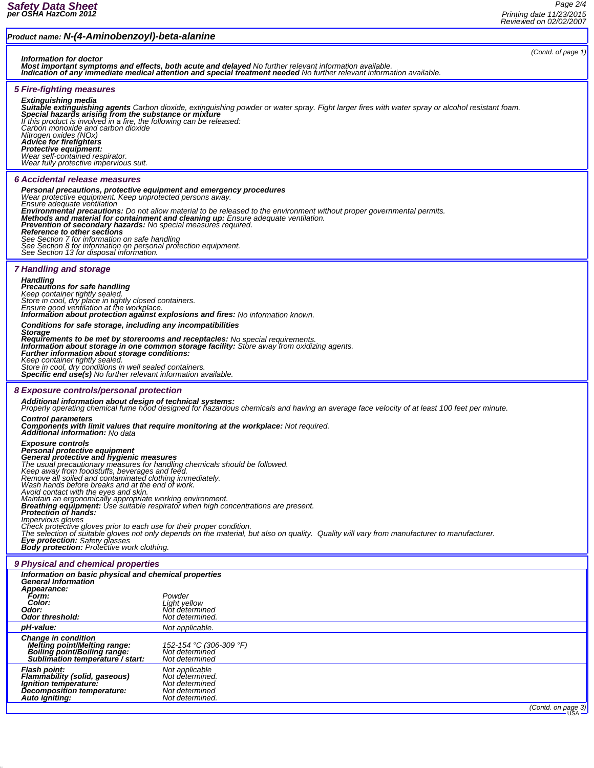## *Product name: N-(4-Aminobenzoyl)-beta-alanine (Contd. of page 1) Information for doctor Most important symptoms and effects, both acute and delayed No further relevant information available. Indication of any immediate medical attention and special treatment needed No further relevant information available. 5 Fire-fighting measures* **Extinguishing media**<br>**Suitable extinguishing agents** Carbon dioxide, extinguishing powder or water spray. Fight larger fires with water spray or alcohol resistant foam.<br>**Special hazards arising from the substance or mixtu** *If this product is involved in a fire, the following can be released:<br>Carbon monoxide and carbon dioxide<br>Nitrogen oxides (NOx)<br>Advice for firefighters Protective equipment: Wear self-contained respirator. Wear fully protective impervious suit. 6 Accidental release measures Personal precautions, protective equipment and emergency procedures Wear protective equipment. Keep unprotected persons away. Ensure adequate ventilation* **Environmental precautions:** Do not allow material to be released to the environment without proper governmental permits.<br>Methods and material for containment and cleaning up: Ensure adequate ventilation.<br>Prevention of sec *See Section 7 for information on safe handling See Section 8 for information on personal protection equipment. See Section 13 for disposal information. 7 Handling and storage Handling Precautions for safe handling* Keep container tightly sealed. ¯<br>Store in cool, dry place in tightly closed containers.<br>Ensure good ventilation at the workplace.<br>**Information about protection against explosions and fires:** No information known. *Conditions for safe storage, including any incompatibilities* Storage<br>Requirements to be met by storerooms and receptacles: No special requirements.<br>Information about storage in one common storage facility: Store away from oxidizing agents.<br>Further information about storage condition *Keep container tightly sealed. Store in cool, dry conditions in well sealed containers. Specific end use(s) No further relevant information available. 8 Exposure controls/personal protection Additional information about design of technical systems: Properly operating chemical fume hood designed for hazardous chemicals and having an average face velocity of at least 100 feet per minute.* Control parameters<br>Components with limit values that require monitoring at the workplace: Not required.<br>Additional information: No data *Exposure controls* Personal protective equipment<br>General protective and hygienic measures<br>The usual precautionary measures for handling chemicals should be followed.<br>Keep away from foodstuffs, beverages and feed.<br>Remove all soiled and contam Check protective gloves prior to each use for their proper condition.<br>The selection of suitable gloves not only depends on the material, but also on quality. Quality will vary from manufacturer to manufacturer. *Eye protection: Safety glasses Body protection: Protective work clothing. 9 Physical and chemical properties Information on basic physical and chemical properties General Information Appearance: Form: Powder Color: Light yellow Odor: Not determined*  $0$ *dor threshold: pH-value: Not applicable. Change in condition Melting point/Melting range: 152-154 °C (306-309 °F) Boiling point/Boiling range: Not determined Sublimation temperature* / start: *Flash point: Not applicable Flammability (solid, gaseous) Not determined. Ignition temperature: Not determined Decomposition temperature: Not determined Auto igniting: Not determined. (Contd. on page 3)*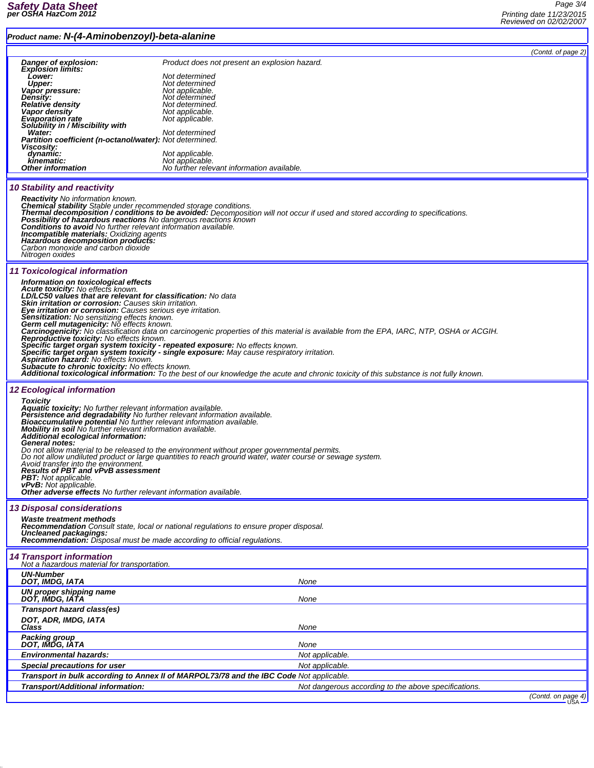## *Product name: N-(4-Aminobenzoyl)-beta-alanine*

| Danger of explosion:                                                                                                                |                                                                                                                                                | (Contd. of page 2) |
|-------------------------------------------------------------------------------------------------------------------------------------|------------------------------------------------------------------------------------------------------------------------------------------------|--------------------|
| <b>Explosion limits:</b>                                                                                                            | Product does not present an explosion hazard.                                                                                                  |                    |
| Lower:<br><b>Upper:</b>                                                                                                             | Not determined<br>Not determined                                                                                                               |                    |
| Vapor pressure:                                                                                                                     | Not applicable.                                                                                                                                |                    |
| <b>Density:</b><br><b>Relative density</b>                                                                                          | Not determined<br>Not determined.                                                                                                              |                    |
| Vapor density                                                                                                                       | Not applicable.                                                                                                                                |                    |
| <b>Evaporation rate</b><br>Solubility in / Miscibility with                                                                         | Not applicable.                                                                                                                                |                    |
| Water:                                                                                                                              | Not determined                                                                                                                                 |                    |
| Partition coefficient (n-octanol/water): Not determined.<br>Viscosity:                                                              |                                                                                                                                                |                    |
| dynamic:                                                                                                                            | Not applicable.                                                                                                                                |                    |
| kinematic:<br><b>Other information</b>                                                                                              | Not applicable.<br>No further relevant information available.                                                                                  |                    |
|                                                                                                                                     |                                                                                                                                                |                    |
| 10 Stability and reactivity                                                                                                         |                                                                                                                                                |                    |
| <b>Reactivity</b> No information known.                                                                                             |                                                                                                                                                |                    |
| Chemical stability Stable under recommended storage conditions.                                                                     | Thermal decomposition / conditions to be avoided: Decomposition will not occur if used and stored according to specifications.                 |                    |
| <b>Possibility of hazardous reactions</b> No dangerous reactions known                                                              |                                                                                                                                                |                    |
| <b>Conditions to avoid</b> No further relevant information available.<br>Incompatible materials: Oxidizing agents                   |                                                                                                                                                |                    |
| Hazardous decomposition products:                                                                                                   |                                                                                                                                                |                    |
| Carbon monoxide and carbon dioxide<br>Nitrogen oxides                                                                               |                                                                                                                                                |                    |
|                                                                                                                                     |                                                                                                                                                |                    |
| <b>11 Toxicological information</b>                                                                                                 |                                                                                                                                                |                    |
| Information on toxicological effects<br><b>Acute toxicity:</b> No effects known.                                                    |                                                                                                                                                |                    |
| LD/LC50 values that are relevant for classification: No data                                                                        |                                                                                                                                                |                    |
| <b>Skin irritation or corrosion:</b> Causes skin irritation.<br>Eye irritation or corrosion: Causes serious eye irritation.         |                                                                                                                                                |                    |
| Sensitization: No sensitizing effects known.<br>Germ cell mutagenicity: No effects known.                                           |                                                                                                                                                |                    |
|                                                                                                                                     | Carcinogenicity: No classification data on carcinogenic properties of this material is available from the EPA, IARC, NTP, OSHA or ACGIH.       |                    |
| Reproductive toxicity: No effects known.                                                                                            |                                                                                                                                                |                    |
| Specific target organ system toxicity - repeated exposure: No effects known.                                                        | Specific target organ system toxicity - single exposure: May cause respiratory irritation.                                                     |                    |
| Aspiration hazard: No effects known.                                                                                                |                                                                                                                                                |                    |
| Subacute to chronic toxicity: No effects known.                                                                                     | <b>Additional toxicological information:</b> To the best of our knowledge the acute and chronic toxicity of this substance is not fully known. |                    |
|                                                                                                                                     |                                                                                                                                                |                    |
| <b>12 Ecological information</b>                                                                                                    |                                                                                                                                                |                    |
| <b>Toxicity</b><br>Aquatic toxicity: No further relevant information available.                                                     |                                                                                                                                                |                    |
| Persistence and degradability No further relevant information available.                                                            |                                                                                                                                                |                    |
| Bioaccumulative potential No further relevant information available.<br>Mobility in soil No further relevant information available. |                                                                                                                                                |                    |
| Additional ecological information:<br>General notes:                                                                                |                                                                                                                                                |                    |
|                                                                                                                                     | Do not allow material to be released to the environment without proper governmental permits.                                                   |                    |
| Avoid transfer into the environment.                                                                                                | Do not allow undiluted product or large quantities to reach ground water, water course or sewage system.                                       |                    |
| <b>Results of PBT and vPvB assessment</b>                                                                                           |                                                                                                                                                |                    |
| PBT: Not applicable.<br><b>vPvB:</b> Not applicable.                                                                                |                                                                                                                                                |                    |
| <b>Other adverse effects</b> No further relevant information available.                                                             |                                                                                                                                                |                    |
|                                                                                                                                     |                                                                                                                                                |                    |
| <b>13 Disposal considerations</b><br><b>Waste treatment methods</b>                                                                 |                                                                                                                                                |                    |
|                                                                                                                                     | <b>Recommendation</b> Consult state, local or national regulations to ensure proper disposal.                                                  |                    |
| Uncleaned packagings:<br><b>Recommendation:</b> Disposal must be made according to official regulations.                            |                                                                                                                                                |                    |
|                                                                                                                                     |                                                                                                                                                |                    |
| <b>14 Transport information</b><br>Not a hazardous material for transportation.                                                     |                                                                                                                                                |                    |
| <b>UN-Number</b>                                                                                                                    |                                                                                                                                                |                    |
| DOT, IMDG, IATA                                                                                                                     | None                                                                                                                                           |                    |
| UN proper shipping name<br>DOT, IMDG, IATA                                                                                          | None                                                                                                                                           |                    |
| Transport hazard class(es)                                                                                                          |                                                                                                                                                |                    |
| DOT, ADR, IMDG, IATA                                                                                                                |                                                                                                                                                |                    |
| Class                                                                                                                               | None                                                                                                                                           |                    |
| Packing group                                                                                                                       |                                                                                                                                                |                    |
| DOT, IMDG, IATA<br><b>Environmental hazards:</b>                                                                                    | None<br>Not applicable.                                                                                                                        |                    |
| Special precautions for user                                                                                                        | Not applicable.                                                                                                                                |                    |
|                                                                                                                                     | Transport in bulk according to Annex II of MARPOL73/78 and the IBC Code Not applicable.                                                        |                    |
| Transport/Additional information:                                                                                                   | Not dangerous according to the above specifications.                                                                                           |                    |
|                                                                                                                                     |                                                                                                                                                | (Contd. on page 4) |
|                                                                                                                                     |                                                                                                                                                |                    |